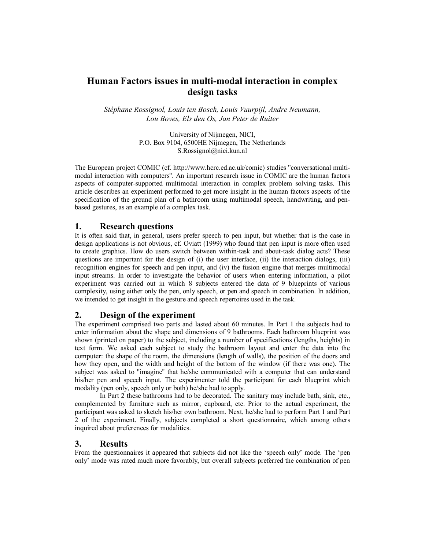# **Human Factors issues in multi-modal interaction in complex design tasks**

*StÈphane Rossignol, Louis ten Bosch, Louis Vuurpijl, Andre Neumann, Lou Boves, Els den Os, Jan Peter de Ruiter* 

> University of Nijmegen, NICI, P.O. Box 9104, 6500HE Nijmegen, The Netherlands S.Rossignol@nici.kun.nl

The European project COMIC (cf. http://www.hcrc.ed.ac.uk/comic) studies ''conversational multimodal interaction with computers''. An important research issue in COMIC are the human factors aspects of computer-supported multimodal interaction in complex problem solving tasks. This article describes an experiment performed to get more insight in the human factors aspects of the specification of the ground plan of a bathroom using multimodal speech, handwriting, and penbased gestures, as an example of a complex task.

## **1. Research questions**

It is often said that, in general, users prefer speech to pen input, but whether that is the case in design applications is not obvious, cf. Oviatt (1999) who found that pen input is more often used to create graphics. How do users switch between within-task and about-task dialog acts? These questions are important for the design of (i) the user interface, (ii) the interaction dialogs, (iii) recognition engines for speech and pen input, and (iv) the fusion engine that merges multimodal input streams. In order to investigate the behavior of users when entering information, a pilot experiment was carried out in which 8 subjects entered the data of 9 blueprints of various complexity, using either only the pen, only speech, or pen and speech in combination. In addition, we intended to get insight in the gesture and speech repertoires used in the task.

## **2. Design of the experiment**

The experiment comprised two parts and lasted about 60 minutes. In Part 1 the subjects had to enter information about the shape and dimensions of 9 bathrooms. Each bathroom blueprint was shown (printed on paper) to the subject, including a number of specifications (lengths, heights) in text form. We asked each subject to study the bathroom layout and enter the data into the computer: the shape of the room, the dimensions (length of walls), the position of the doors and how they open, and the width and height of the bottom of the window (if there was one). The subject was asked to ''imagine'' that he/she communicated with a computer that can understand his/her pen and speech input. The experimenter told the participant for each blueprint which modality (pen only, speech only or both) he/she had to apply.

 In Part 2 these bathrooms had to be decorated. The sanitary may include bath, sink, etc., complemented by furniture such as mirror, cupboard, etc. Prior to the actual experiment, the participant was asked to sketch his/her own bathroom. Next, he/she had to perform Part 1 and Part 2 of the experiment. Finally, subjects completed a short questionnaire, which among others inquired about preferences for modalities.

## **3. Results**

From the questionnaires it appeared that subjects did not like the 'speech only' mode. The 'pen onlyí mode was rated much more favorably, but overall subjects preferred the combination of pen